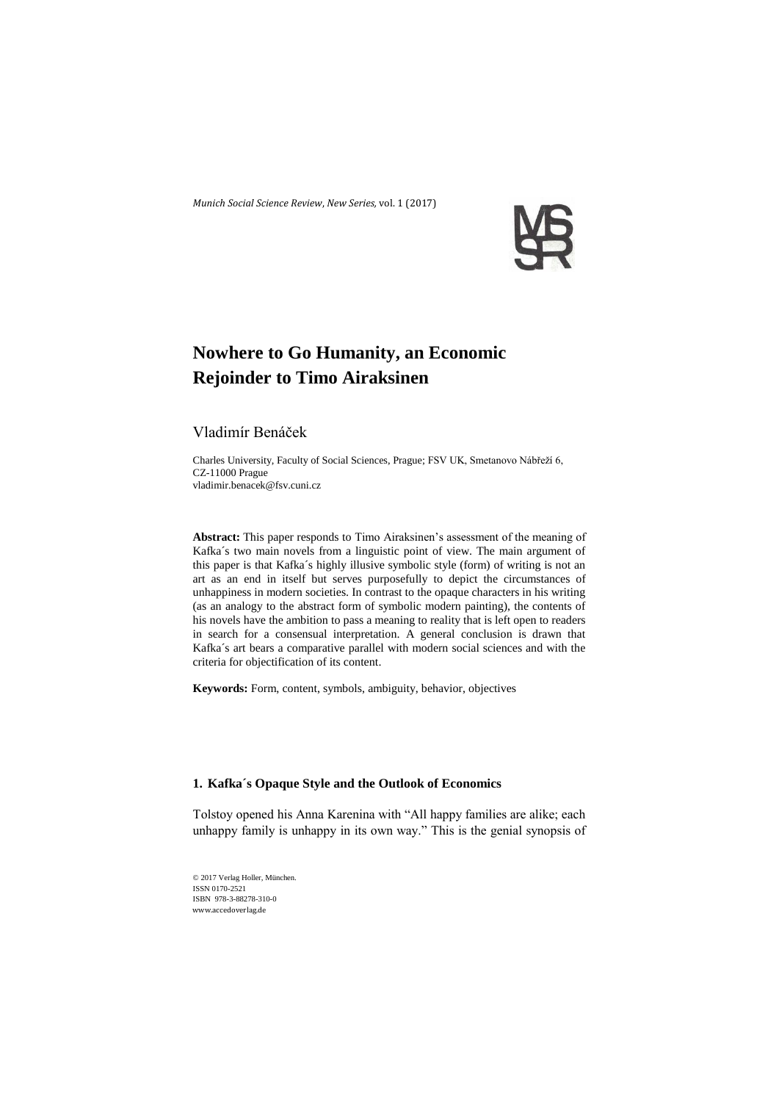*Munich Social Science Review*, *New Series,* vol. 1 (2017)



# **Nowhere to Go Humanity, an Economic Rejoinder to Timo Airaksinen**

## Vladimír Benáček

Charles University, Faculty of Social Sciences, Prague; FSV UK, Smetanovo Nábřeží 6, CZ-11000 Prague vladimir.benacek@fsv.cuni.cz

**Abstract:** This paper responds to Timo Airaksinen's assessment of the meaning of Kafka´s two main novels from a linguistic point of view. The main argument of this paper is that Kafka´s highly illusive symbolic style (form) of writing is not an art as an end in itself but serves purposefully to depict the circumstances of unhappiness in modern societies. In contrast to the opaque characters in his writing (as an analogy to the abstract form of symbolic modern painting), the contents of his novels have the ambition to pass a meaning to reality that is left open to readers in search for a consensual interpretation. A general conclusion is drawn that Kafka´s art bears a comparative parallel with modern social sciences and with the criteria for objectification of its content.

**Keywords:** Form, content, symbols, ambiguity, behavior, objectives

## **1. Kafka´s Opaque Style and the Outlook of Economics**

Tolstoy opened his Anna Karenina with "All happy families are alike; each unhappy family is unhappy in its own way." This is the genial synopsis of

© 2017 Verlag Holler, München. ISSN 0170-2521 ISBN 978-3-88278-310-0 www.accedoverlag.de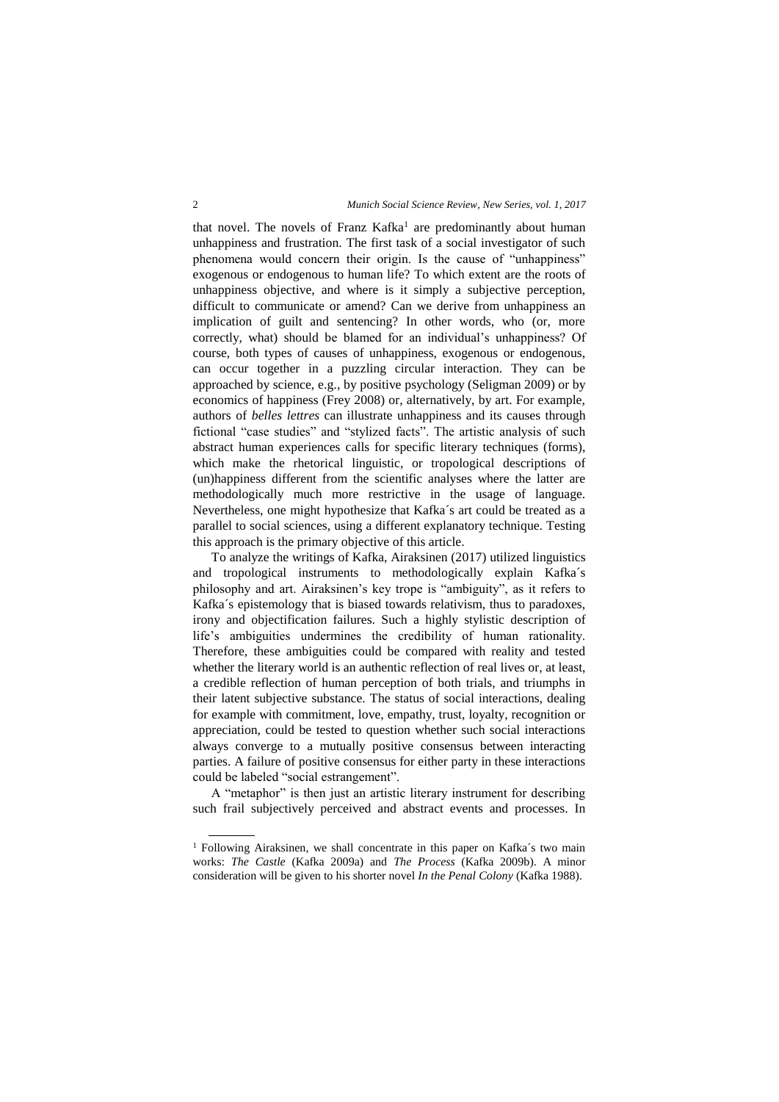that novel. The novels of Franz Kafka<sup>1</sup> are predominantly about human unhappiness and frustration. The first task of a social investigator of such phenomena would concern their origin. Is the cause of "unhappiness" exogenous or endogenous to human life? To which extent are the roots of unhappiness objective, and where is it simply a subjective perception, difficult to communicate or amend? Can we derive from unhappiness an implication of guilt and sentencing? In other words, who (or, more correctly, what) should be blamed for an individual's unhappiness? Of course, both types of causes of unhappiness, exogenous or endogenous, can occur together in a puzzling circular interaction. They can be approached by science, e.g., by positive psychology (Seligman 2009) or by economics of happiness (Frey 2008) or, alternatively, by art. For example, authors of *belles lettres* can illustrate unhappiness and its causes through fictional "case studies" and "stylized facts". The artistic analysis of such abstract human experiences calls for specific literary techniques (forms), which make the rhetorical linguistic, or tropological descriptions of (un)happiness different from the scientific analyses where the latter are methodologically much more restrictive in the usage of language. Nevertheless, one might hypothesize that Kafka´s art could be treated as a parallel to social sciences, using a different explanatory technique. Testing this approach is the primary objective of this article.

To analyze the writings of Kafka, Airaksinen (2017) utilized linguistics and tropological instruments to methodologically explain Kafka´s philosophy and art. Airaksinen's key trope is "ambiguity", as it refers to Kafka´s epistemology that is biased towards relativism, thus to paradoxes, irony and objectification failures. Such a highly stylistic description of life's ambiguities undermines the credibility of human rationality. Therefore, these ambiguities could be compared with reality and tested whether the literary world is an authentic reflection of real lives or, at least, a credible reflection of human perception of both trials, and triumphs in their latent subjective substance. The status of social interactions, dealing for example with commitment, love, empathy, trust, loyalty, recognition or appreciation, could be tested to question whether such social interactions always converge to a mutually positive consensus between interacting parties. A failure of positive consensus for either party in these interactions could be labeled "social estrangement".

A "metaphor" is then just an artistic literary instrument for describing such frail subjectively perceived and abstract events and processes. In

 $\overline{a}$ 

<sup>&</sup>lt;sup>1</sup> Following Airaksinen, we shall concentrate in this paper on Kafka's two main works: *The Castle* (Kafka 2009a) and *The Process* (Kafka 2009b). A minor consideration will be given to his shorter novel *In the Penal Colony* (Kafka 1988).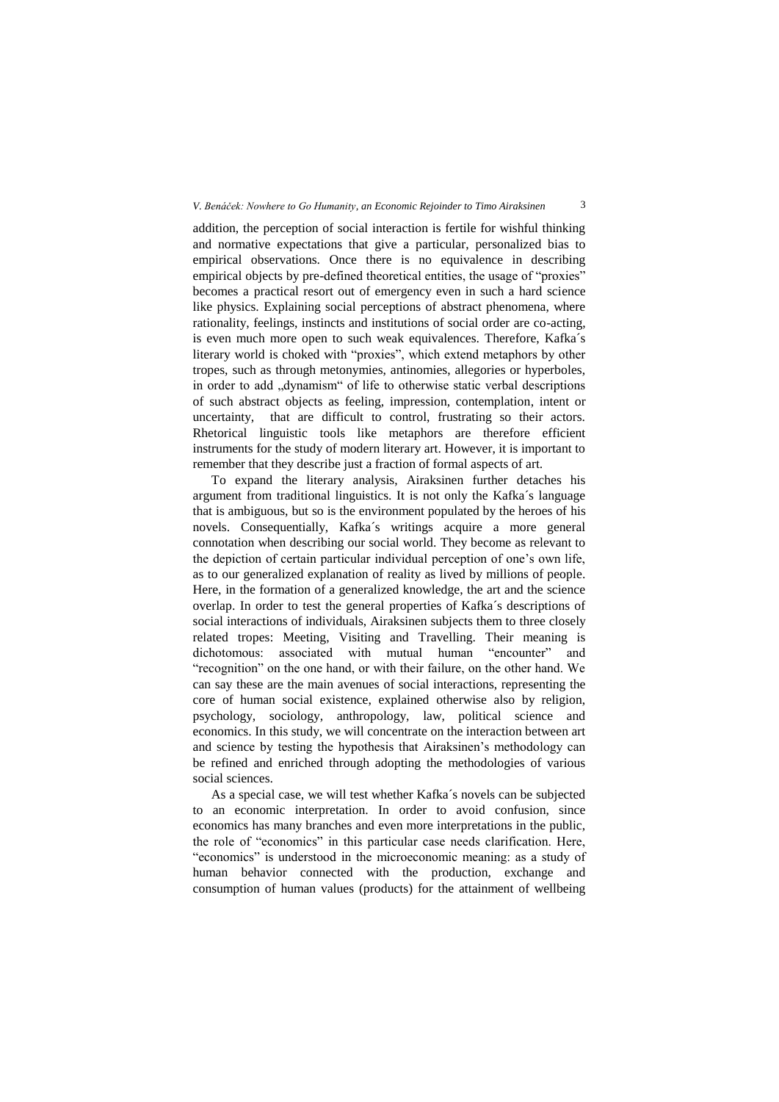addition, the perception of social interaction is fertile for wishful thinking and normative expectations that give a particular, personalized bias to empirical observations. Once there is no equivalence in describing empirical objects by pre-defined theoretical entities, the usage of "proxies" becomes a practical resort out of emergency even in such a hard science like physics. Explaining social perceptions of abstract phenomena, where rationality, feelings, instincts and institutions of social order are co-acting, is even much more open to such weak equivalences. Therefore, Kafka´s literary world is choked with "proxies", which extend metaphors by other tropes, such as through metonymies, antinomies, allegories or hyperboles, in order to add ..dvnamism" of life to otherwise static verbal descriptions of such abstract objects as feeling, impression, contemplation, intent or uncertainty, that are difficult to control, frustrating so their actors. Rhetorical linguistic tools like metaphors are therefore efficient instruments for the study of modern literary art. However, it is important to remember that they describe just a fraction of formal aspects of art.

To expand the literary analysis, Airaksinen further detaches his argument from traditional linguistics. It is not only the Kafka´s language that is ambiguous, but so is the environment populated by the heroes of his novels. Consequentially, Kafka´s writings acquire a more general connotation when describing our social world. They become as relevant to the depiction of certain particular individual perception of one's own life, as to our generalized explanation of reality as lived by millions of people. Here, in the formation of a generalized knowledge, the art and the science overlap. In order to test the general properties of Kafka´s descriptions of social interactions of individuals, Airaksinen subjects them to three closely related tropes: Meeting, Visiting and Travelling. Their meaning is dichotomous: associated with mutual human "encounter" and "recognition" on the one hand, or with their failure, on the other hand. We can say these are the main avenues of social interactions, representing the core of human social existence, explained otherwise also by religion, psychology, sociology, anthropology, law, political science and economics. In this study, we will concentrate on the interaction between art and science by testing the hypothesis that Airaksinen's methodology can be refined and enriched through adopting the methodologies of various social sciences.

As a special case, we will test whether Kafka´s novels can be subjected to an economic interpretation. In order to avoid confusion, since economics has many branches and even more interpretations in the public, the role of "economics" in this particular case needs clarification. Here, "economics" is understood in the microeconomic meaning: as a study of human behavior connected with the production, exchange and consumption of human values (products) for the attainment of wellbeing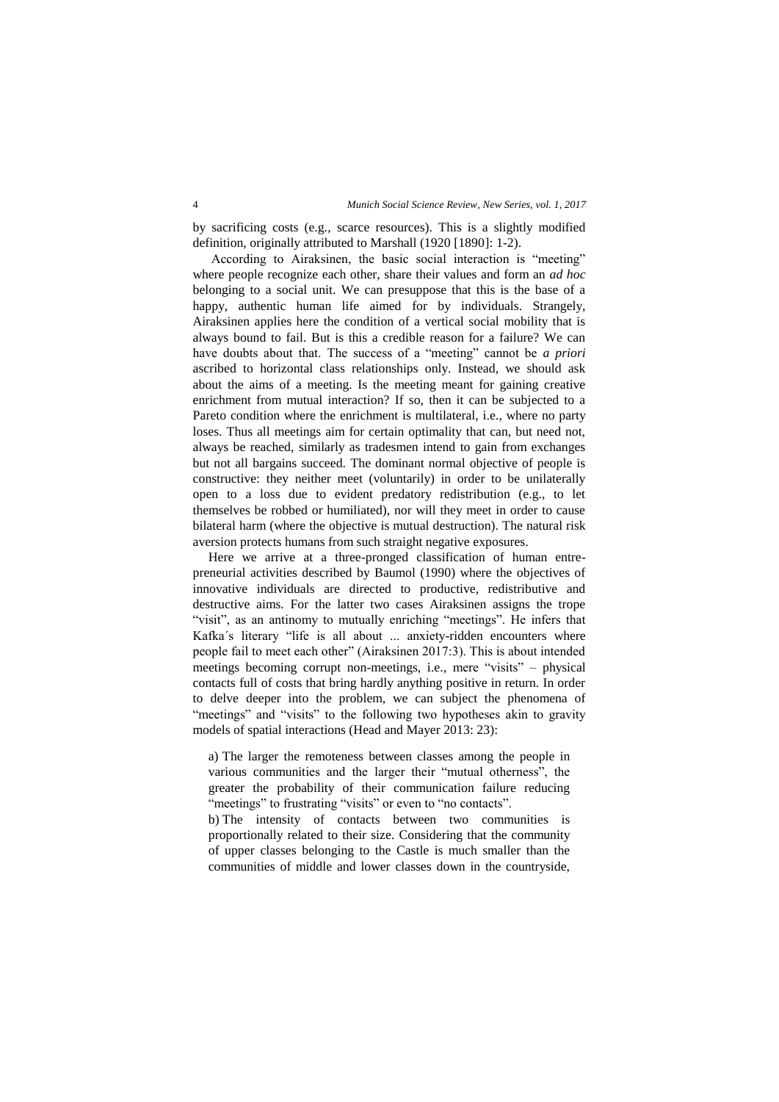by sacrificing costs (e.g., scarce resources). This is a slightly modified definition, originally attributed to Marshall (1920 [1890]: 1-2).

According to Airaksinen, the basic social interaction is "meeting" where people recognize each other, share their values and form an *ad hoc* belonging to a social unit. We can presuppose that this is the base of a happy, authentic human life aimed for by individuals. Strangely, Airaksinen applies here the condition of a vertical social mobility that is always bound to fail. But is this a credible reason for a failure? We can have doubts about that. The success of a "meeting" cannot be *a priori* ascribed to horizontal class relationships only. Instead, we should ask about the aims of a meeting. Is the meeting meant for gaining creative enrichment from mutual interaction? If so, then it can be subjected to a Pareto condition where the enrichment is multilateral, i.e., where no party loses. Thus all meetings aim for certain optimality that can, but need not, always be reached, similarly as tradesmen intend to gain from exchanges but not all bargains succeed. The dominant normal objective of people is constructive: they neither meet (voluntarily) in order to be unilaterally open to a loss due to evident predatory redistribution (e.g., to let themselves be robbed or humiliated), nor will they meet in order to cause bilateral harm (where the objective is mutual destruction). The natural risk aversion protects humans from such straight negative exposures.

Here we arrive at a three-pronged classification of human entrepreneurial activities described by Baumol (1990) where the objectives of innovative individuals are directed to productive, redistributive and destructive aims. For the latter two cases Airaksinen assigns the trope "visit", as an antinomy to mutually enriching "meetings". He infers that Kafka´s literary "life is all about ... anxiety-ridden encounters where people fail to meet each other" (Airaksinen 2017:3). This is about intended meetings becoming corrupt non-meetings, i.e., mere "visits" – physical contacts full of costs that bring hardly anything positive in return. In order to delve deeper into the problem, we can subject the phenomena of "meetings" and "visits" to the following two hypotheses akin to gravity models of spatial interactions (Head and Mayer 2013: 23):

a) The larger the remoteness between classes among the people in various communities and the larger their "mutual otherness", the greater the probability of their communication failure reducing "meetings" to frustrating "visits" or even to "no contacts".

b) The intensity of contacts between two communities is proportionally related to their size. Considering that the community of upper classes belonging to the Castle is much smaller than the communities of middle and lower classes down in the countryside,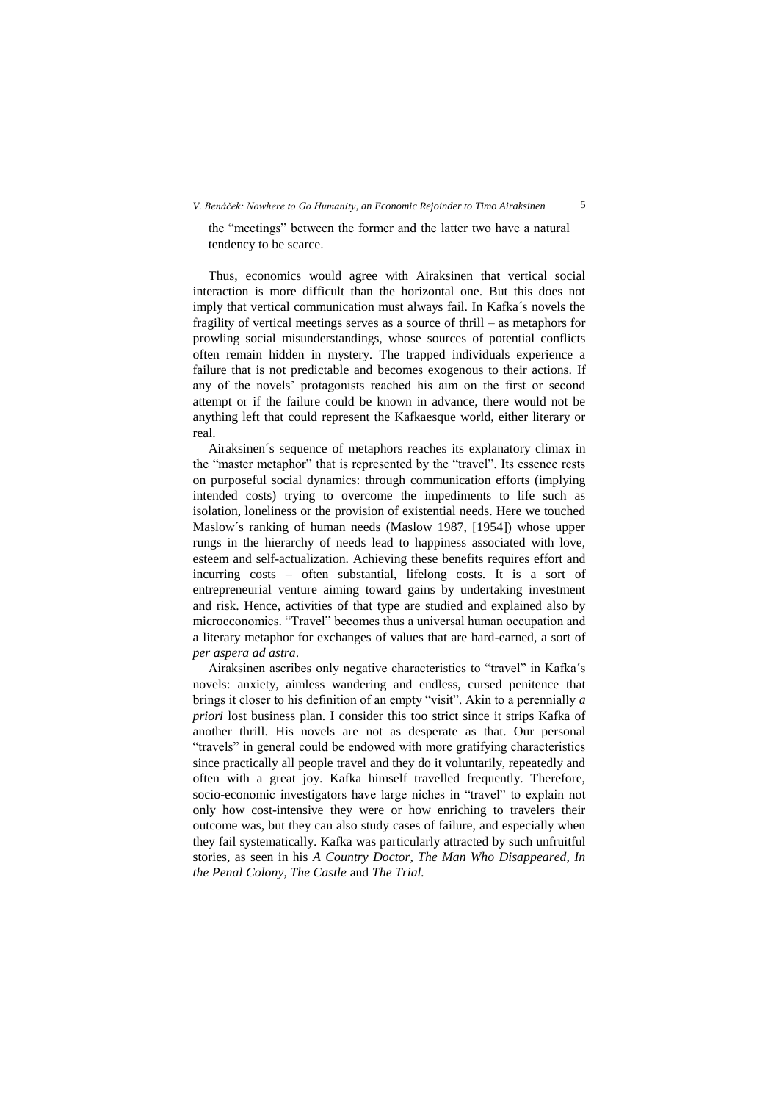the "meetings" between the former and the latter two have a natural tendency to be scarce.

Thus, economics would agree with Airaksinen that vertical social interaction is more difficult than the horizontal one. But this does not imply that vertical communication must always fail. In Kafka´s novels the fragility of vertical meetings serves as a source of thrill – as metaphors for prowling social misunderstandings, whose sources of potential conflicts often remain hidden in mystery. The trapped individuals experience a failure that is not predictable and becomes exogenous to their actions. If any of the novels' protagonists reached his aim on the first or second attempt or if the failure could be known in advance, there would not be anything left that could represent the Kafkaesque world, either literary or real.

Airaksinen´s sequence of metaphors reaches its explanatory climax in the "master metaphor" that is represented by the "travel". Its essence rests on purposeful social dynamics: through communication efforts (implying intended costs) trying to overcome the impediments to life such as isolation, loneliness or the provision of existential needs. Here we touched Maslow´s ranking of human needs (Maslow 1987, [1954]) whose upper rungs in the hierarchy of needs lead to happiness associated with love, esteem and self-actualization. Achieving these benefits requires effort and incurring costs – often substantial, lifelong costs. It is a sort of entrepreneurial venture aiming toward gains by undertaking investment and risk. Hence, activities of that type are studied and explained also by microeconomics. "Travel" becomes thus a universal human occupation and a literary metaphor for exchanges of values that are hard-earned, a sort of *per aspera ad astra*.

Airaksinen ascribes only negative characteristics to "travel" in Kafka´s novels: anxiety, aimless wandering and endless, cursed penitence that brings it closer to his definition of an empty "visit". Akin to a perennially *a priori* lost business plan. I consider this too strict since it strips Kafka of another thrill. His novels are not as desperate as that. Our personal "travels" in general could be endowed with more gratifying characteristics since practically all people travel and they do it voluntarily, repeatedly and often with a great joy. Kafka himself travelled frequently. Therefore, socio-economic investigators have large niches in "travel" to explain not only how cost-intensive they were or how enriching to travelers their outcome was, but they can also study cases of failure, and especially when they fail systematically. Kafka was particularly attracted by such unfruitful stories, as seen in his *A Country Doctor, The Man Who Disappeared, In the Penal Colony, The Castle* and *The Trial.*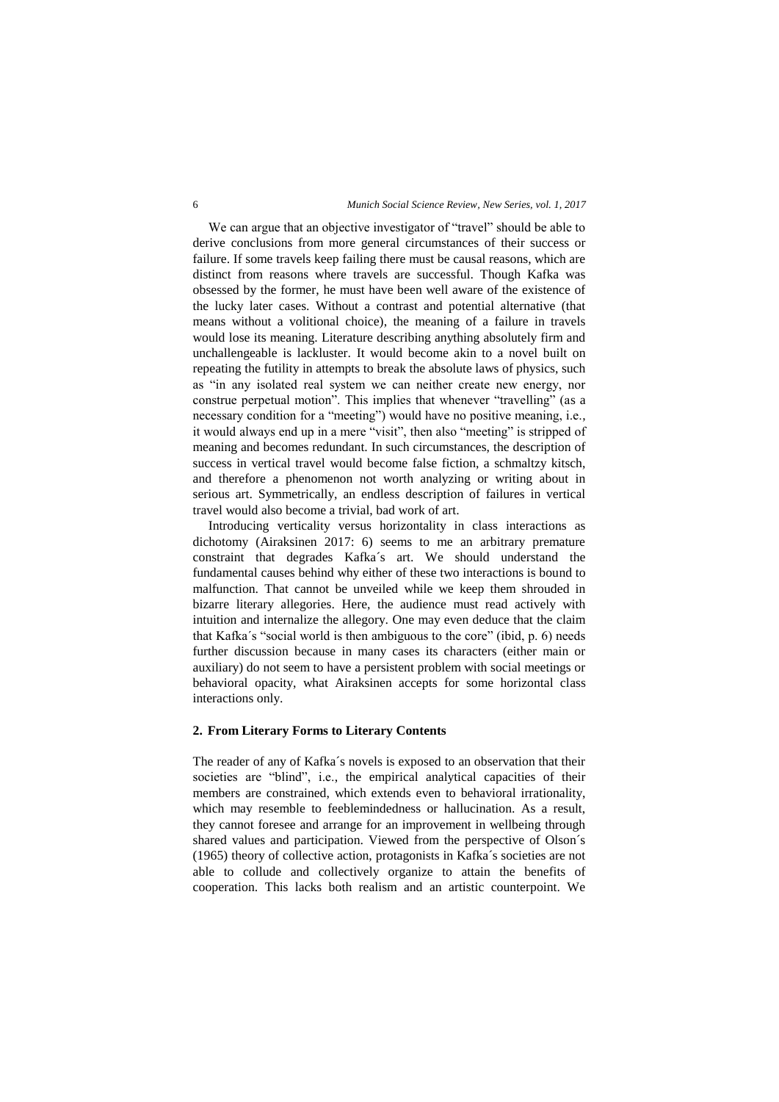We can argue that an objective investigator of "travel" should be able to derive conclusions from more general circumstances of their success or failure. If some travels keep failing there must be causal reasons, which are distinct from reasons where travels are successful. Though Kafka was obsessed by the former, he must have been well aware of the existence of the lucky later cases. Without a contrast and potential alternative (that means without a volitional choice), the meaning of a failure in travels would lose its meaning. Literature describing anything absolutely firm and unchallengeable is lackluster. It would become akin to a novel built on repeating the futility in attempts to break the absolute laws of physics, such as "in any isolated real system we can neither create new energy, nor construe perpetual motion". This implies that whenever "travelling" (as a necessary condition for a "meeting") would have no positive meaning, i.e., it would always end up in a mere "visit", then also "meeting" is stripped of meaning and becomes redundant. In such circumstances, the description of success in vertical travel would become false fiction, a schmaltzy kitsch, and therefore a phenomenon not worth analyzing or writing about in serious art. Symmetrically, an endless description of failures in vertical travel would also become a trivial, bad work of art.

Introducing verticality versus horizontality in class interactions as dichotomy (Airaksinen 2017: 6) seems to me an arbitrary premature constraint that degrades Kafka´s art. We should understand the fundamental causes behind why either of these two interactions is bound to malfunction. That cannot be unveiled while we keep them shrouded in bizarre literary allegories. Here, the audience must read actively with intuition and internalize the allegory. One may even deduce that the claim that Kafka´s "social world is then ambiguous to the core" (ibid, p. 6) needs further discussion because in many cases its characters (either main or auxiliary) do not seem to have a persistent problem with social meetings or behavioral opacity, what Airaksinen accepts for some horizontal class interactions only.

#### **2. From Literary Forms to Literary Contents**

The reader of any of Kafka´s novels is exposed to an observation that their societies are "blind", i.e., the empirical analytical capacities of their members are constrained, which extends even to behavioral irrationality, which may resemble to feeblemindedness or hallucination. As a result, they cannot foresee and arrange for an improvement in wellbeing through shared values and participation. Viewed from the perspective of Olson´s (1965) theory of collective action, protagonists in Kafka´s societies are not able to collude and collectively organize to attain the benefits of cooperation. This lacks both realism and an artistic counterpoint. We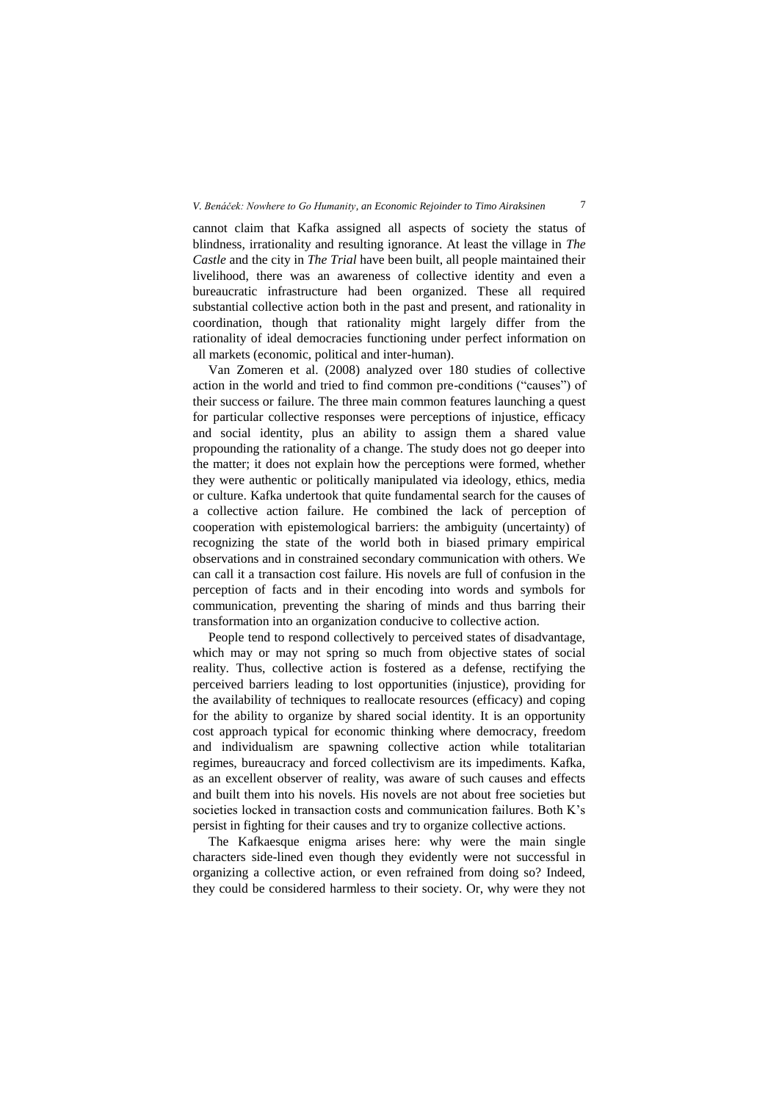cannot claim that Kafka assigned all aspects of society the status of blindness, irrationality and resulting ignorance. At least the village in *The Castle* and the city in *The Trial* have been built, all people maintained their livelihood, there was an awareness of collective identity and even a bureaucratic infrastructure had been organized. These all required substantial collective action both in the past and present, and rationality in coordination, though that rationality might largely differ from the rationality of ideal democracies functioning under perfect information on all markets (economic, political and inter-human).

Van Zomeren et al. (2008) analyzed over 180 studies of collective action in the world and tried to find common pre-conditions ("causes") of their success or failure. The three main common features launching a quest for particular collective responses were perceptions of injustice, efficacy and social identity, plus an ability to assign them a shared value propounding the rationality of a change. The study does not go deeper into the matter; it does not explain how the perceptions were formed, whether they were authentic or politically manipulated via ideology, ethics, media or culture. Kafka undertook that quite fundamental search for the causes of a collective action failure. He combined the lack of perception of cooperation with epistemological barriers: the ambiguity (uncertainty) of recognizing the state of the world both in biased primary empirical observations and in constrained secondary communication with others. We can call it a transaction cost failure. His novels are full of confusion in the perception of facts and in their encoding into words and symbols for communication, preventing the sharing of minds and thus barring their transformation into an organization conducive to collective action.

People tend to respond collectively to perceived states of disadvantage, which may or may not spring so much from objective states of social reality. Thus, collective action is fostered as a defense, rectifying the perceived barriers leading to lost opportunities (injustice), providing for the availability of techniques to reallocate resources (efficacy) and coping for the ability to organize by shared social identity. It is an opportunity cost approach typical for economic thinking where democracy, freedom and individualism are spawning collective action while totalitarian regimes, bureaucracy and forced collectivism are its impediments. Kafka, as an excellent observer of reality, was aware of such causes and effects and built them into his novels. His novels are not about free societies but societies locked in transaction costs and communication failures. Both K's persist in fighting for their causes and try to organize collective actions.

The Kafkaesque enigma arises here: why were the main single characters side-lined even though they evidently were not successful in organizing a collective action, or even refrained from doing so? Indeed, they could be considered harmless to their society. Or, why were they not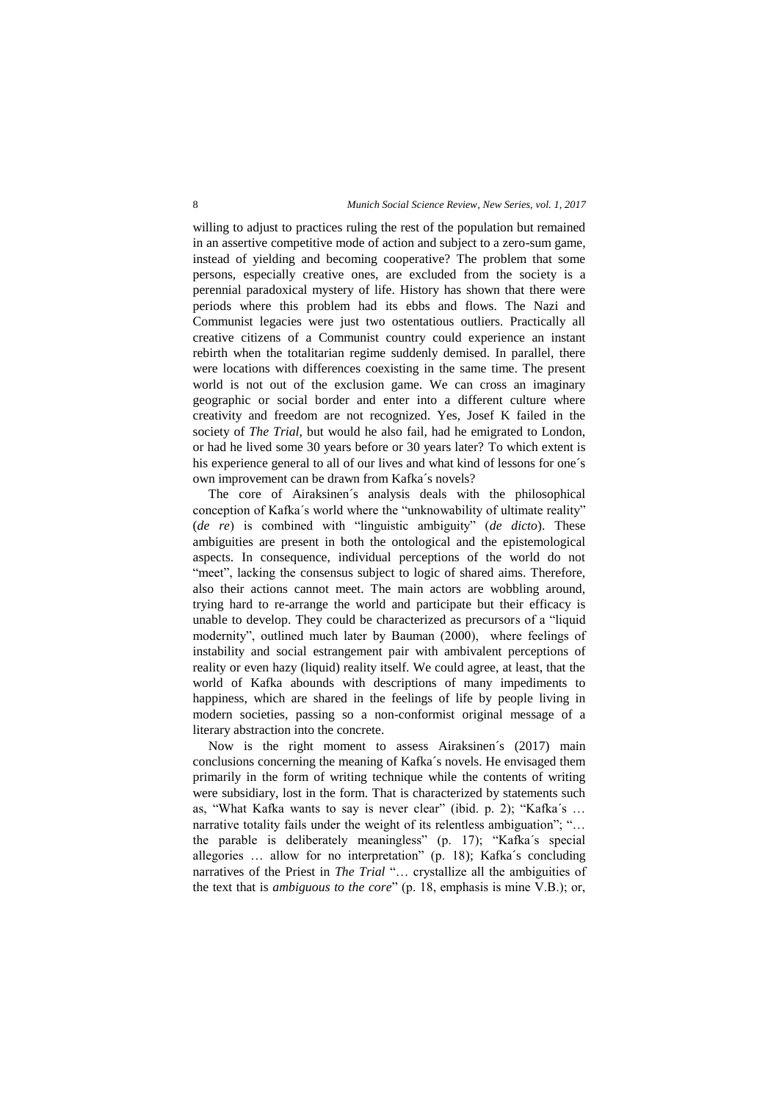willing to adjust to practices ruling the rest of the population but remained in an assertive competitive mode of action and subject to a zero-sum game, instead of yielding and becoming cooperative? The problem that some persons, especially creative ones, are excluded from the society is a perennial paradoxical mystery of life. History has shown that there were periods where this problem had its ebbs and flows. The Nazi and Communist legacies were just two ostentatious outliers. Practically all creative citizens of a Communist country could experience an instant rebirth when the totalitarian regime suddenly demised. In parallel, there were locations with differences coexisting in the same time. The present world is not out of the exclusion game. We can cross an imaginary geographic or social border and enter into a different culture where creativity and freedom are not recognized. Yes, Josef K failed in the society of *The Trial,* but would he also fail, had he emigrated to London, or had he lived some 30 years before or 30 years later? To which extent is his experience general to all of our lives and what kind of lessons for one´s own improvement can be drawn from Kafka´s novels?

The core of Airaksinen´s analysis deals with the philosophical conception of Kafka´s world where the "unknowability of ultimate reality" (*de re*) is combined with "linguistic ambiguity" (*de dicto*). These ambiguities are present in both the ontological and the epistemological aspects. In consequence, individual perceptions of the world do not "meet", lacking the consensus subject to logic of shared aims. Therefore, also their actions cannot meet. The main actors are wobbling around, trying hard to re-arrange the world and participate but their efficacy is unable to develop. They could be characterized as precursors of a "liquid modernity", outlined much later by Bauman (2000), where feelings of instability and social estrangement pair with ambivalent perceptions of reality or even hazy (liquid) reality itself. We could agree, at least, that the world of Kafka abounds with descriptions of many impediments to happiness, which are shared in the feelings of life by people living in modern societies, passing so a non-conformist original message of a literary abstraction into the concrete.

Now is the right moment to assess Airaksinen´s (2017) main conclusions concerning the meaning of Kafka´s novels. He envisaged them primarily in the form of writing technique while the contents of writing were subsidiary, lost in the form. That is characterized by statements such as, "What Kafka wants to say is never clear" (ibid. p. 2); "Kafka´s … narrative totality fails under the weight of its relentless ambiguation"; "… the parable is deliberately meaningless" (p. 17); "Kafka´s special allegories … allow for no interpretation" (p. 18); Kafka´s concluding narratives of the Priest in *The Trial* "… crystallize all the ambiguities of the text that is *ambiguous to the core*" (p. 18, emphasis is mine V.B.); or,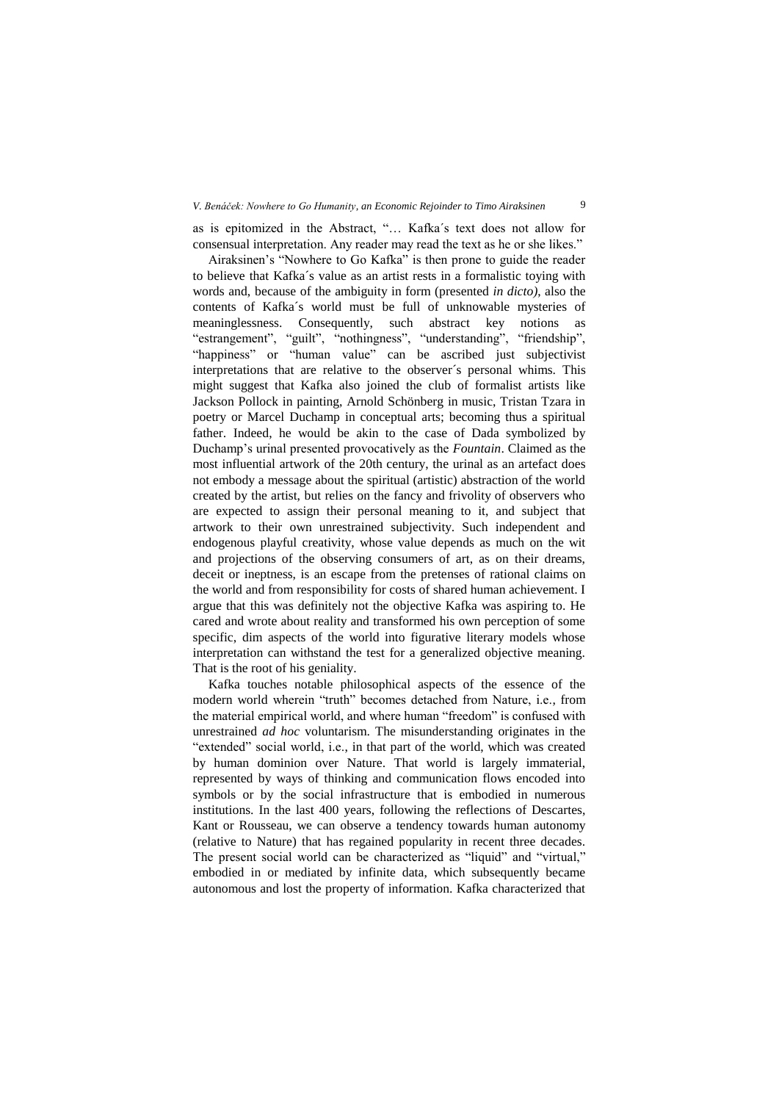#### *V. Benáček: Nowhere to Go Humanity, an Economic Rejoinder to Timo Airaksinen* 9

as is epitomized in the Abstract, "… Kafka´s text does not allow for consensual interpretation. Any reader may read the text as he or she likes."

Airaksinen's "Nowhere to Go Kafka" is then prone to guide the reader to believe that Kafka´s value as an artist rests in a formalistic toying with words and, because of the ambiguity in form (presented *in dicto)*, also the contents of Kafka´s world must be full of unknowable mysteries of meaninglessness. Consequently, such abstract key notions as "estrangement", "guilt", "nothingness", "understanding", "friendship", "happiness" or "human value" can be ascribed just subjectivist interpretations that are relative to the observer´s personal whims. This might suggest that Kafka also joined the club of formalist artists like Jackson Pollock in painting, Arnold Schönberg in music, Tristan Tzara in poetry or Marcel Duchamp in conceptual arts; becoming thus a spiritual father. Indeed, he would be akin to the case of Dada symbolized by Duchamp's urinal presented provocatively as the *Fountain*. Claimed as the most influential artwork of the 20th century, the urinal as an artefact does not embody a message about the spiritual (artistic) abstraction of the world created by the artist, but relies on the fancy and frivolity of observers who are expected to assign their personal meaning to it, and subject that artwork to their own unrestrained subjectivity. Such independent and endogenous playful creativity, whose value depends as much on the wit and projections of the observing consumers of art, as on their dreams, deceit or ineptness, is an escape from the pretenses of rational claims on the world and from responsibility for costs of shared human achievement. I argue that this was definitely not the objective Kafka was aspiring to. He cared and wrote about reality and transformed his own perception of some specific, dim aspects of the world into figurative literary models whose interpretation can withstand the test for a generalized objective meaning. That is the root of his geniality.

Kafka touches notable philosophical aspects of the essence of the modern world wherein "truth" becomes detached from Nature, i.e., from the material empirical world, and where human "freedom" is confused with unrestrained *ad hoc* voluntarism. The misunderstanding originates in the "extended" social world, i.e., in that part of the world, which was created by human dominion over Nature. That world is largely immaterial, represented by ways of thinking and communication flows encoded into symbols or by the social infrastructure that is embodied in numerous institutions. In the last 400 years, following the reflections of Descartes, Kant or Rousseau, we can observe a tendency towards human autonomy (relative to Nature) that has regained popularity in recent three decades. The present social world can be characterized as "liquid" and "virtual," embodied in or mediated by infinite data, which subsequently became autonomous and lost the property of information. Kafka characterized that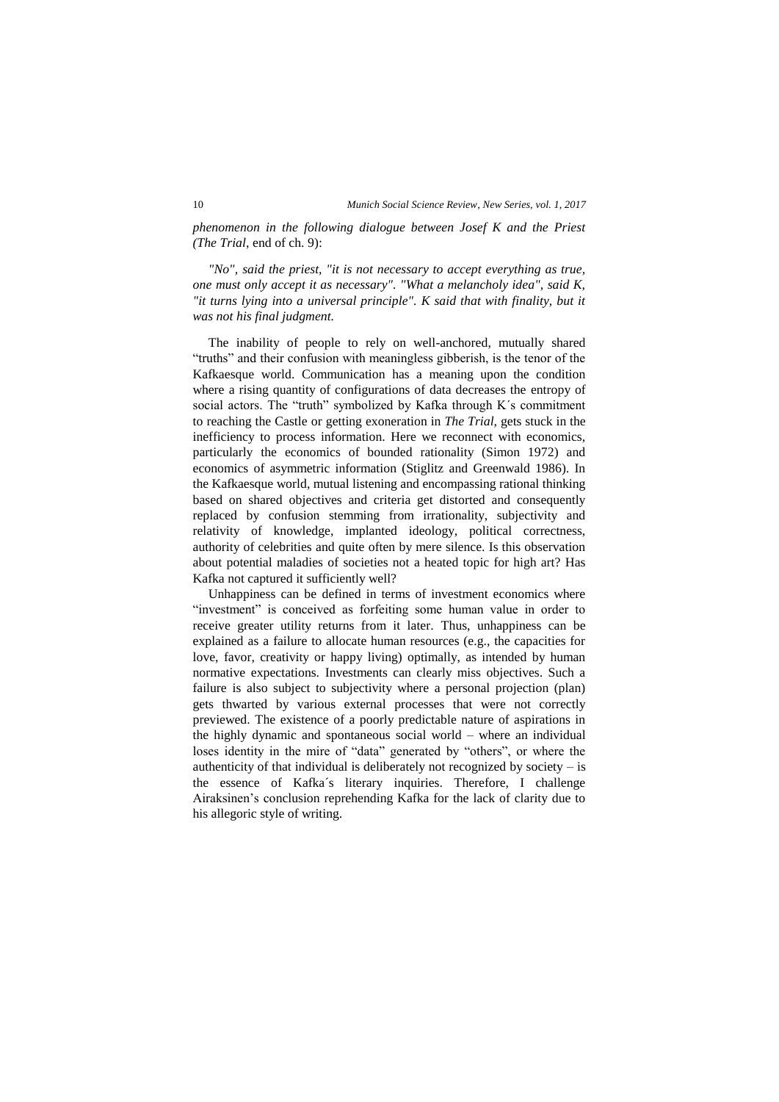*phenomenon in the following dialogue between Josef K and the Priest (The Trial*, end of ch. 9):

*"No", said the priest, "it is not necessary to accept everything as true, one must only accept it as necessary". "What a melancholy idea", said K, "it turns lying into a universal principle". K said that with finality, but it was not his final judgment.*

The inability of people to rely on well-anchored, mutually shared "truths" and their confusion with meaningless gibberish, is the tenor of the Kafkaesque world. Communication has a meaning upon the condition where a rising quantity of configurations of data decreases the entropy of social actors. The "truth" symbolized by Kafka through K´s commitment to reaching the Castle or getting exoneration in *The Trial,* gets stuck in the inefficiency to process information. Here we reconnect with economics, particularly the economics of bounded rationality (Simon 1972) and economics of asymmetric information (Stiglitz and Greenwald 1986). In the Kafkaesque world, mutual listening and encompassing rational thinking based on shared objectives and criteria get distorted and consequently replaced by confusion stemming from irrationality, subjectivity and relativity of knowledge, implanted ideology, political correctness, authority of celebrities and quite often by mere silence. Is this observation about potential maladies of societies not a heated topic for high art? Has Kafka not captured it sufficiently well?

Unhappiness can be defined in terms of investment economics where "investment" is conceived as forfeiting some human value in order to receive greater utility returns from it later. Thus, unhappiness can be explained as a failure to allocate human resources (e.g., the capacities for love, favor, creativity or happy living) optimally, as intended by human normative expectations. Investments can clearly miss objectives. Such a failure is also subject to subjectivity where a personal projection (plan) gets thwarted by various external processes that were not correctly previewed. The existence of a poorly predictable nature of aspirations in the highly dynamic and spontaneous social world – where an individual loses identity in the mire of "data" generated by "others", or where the authenticity of that individual is deliberately not recognized by society  $-$  is the essence of Kafka´s literary inquiries. Therefore, I challenge Airaksinen's conclusion reprehending Kafka for the lack of clarity due to his allegoric style of writing.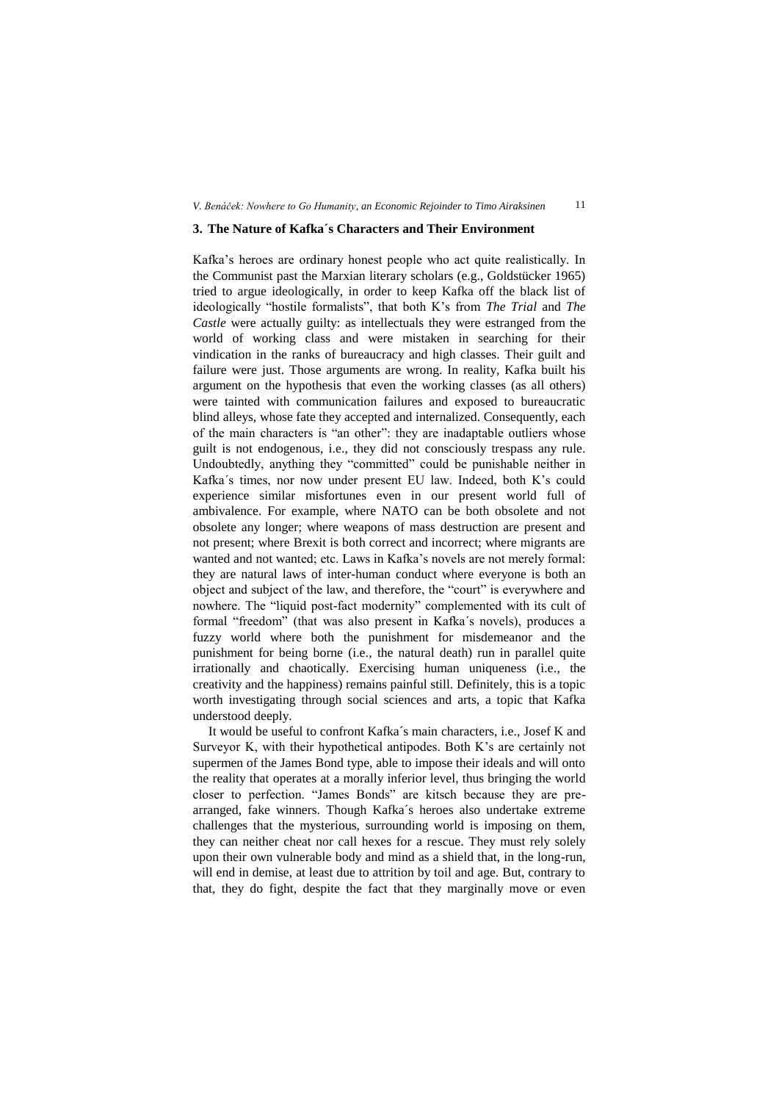#### **3. The Nature of Kafka´s Characters and Their Environment**

Kafka's heroes are ordinary honest people who act quite realistically. In the Communist past the Marxian literary scholars (e.g., Goldstücker 1965) tried to argue ideologically, in order to keep Kafka off the black list of ideologically "hostile formalists", that both K's from *The Trial* and *The Castle* were actually guilty: as intellectuals they were estranged from the world of working class and were mistaken in searching for their vindication in the ranks of bureaucracy and high classes. Their guilt and failure were just. Those arguments are wrong. In reality, Kafka built his argument on the hypothesis that even the working classes (as all others) were tainted with communication failures and exposed to bureaucratic blind alleys, whose fate they accepted and internalized. Consequently, each of the main characters is "an other": they are inadaptable outliers whose guilt is not endogenous, i.e., they did not consciously trespass any rule. Undoubtedly, anything they "committed" could be punishable neither in Kafka´s times, nor now under present EU law. Indeed, both K's could experience similar misfortunes even in our present world full of ambivalence. For example, where NATO can be both obsolete and not obsolete any longer; where weapons of mass destruction are present and not present; where Brexit is both correct and incorrect; where migrants are wanted and not wanted; etc. Laws in Kafka's novels are not merely formal: they are natural laws of inter-human conduct where everyone is both an object and subject of the law, and therefore, the "court" is everywhere and nowhere. The "liquid post-fact modernity" complemented with its cult of formal "freedom" (that was also present in Kafka´s novels), produces a fuzzy world where both the punishment for misdemeanor and the punishment for being borne (i.e., the natural death) run in parallel quite irrationally and chaotically. Exercising human uniqueness (i.e., the creativity and the happiness) remains painful still. Definitely, this is a topic worth investigating through social sciences and arts, a topic that Kafka understood deeply.

It would be useful to confront Kafka´s main characters, i.e., Josef K and Surveyor K, with their hypothetical antipodes. Both K's are certainly not supermen of the James Bond type, able to impose their ideals and will onto the reality that operates at a morally inferior level, thus bringing the world closer to perfection. "James Bonds" are kitsch because they are prearranged, fake winners. Though Kafka´s heroes also undertake extreme challenges that the mysterious, surrounding world is imposing on them, they can neither cheat nor call hexes for a rescue. They must rely solely upon their own vulnerable body and mind as a shield that, in the long-run, will end in demise, at least due to attrition by toil and age. But, contrary to that, they do fight, despite the fact that they marginally move or even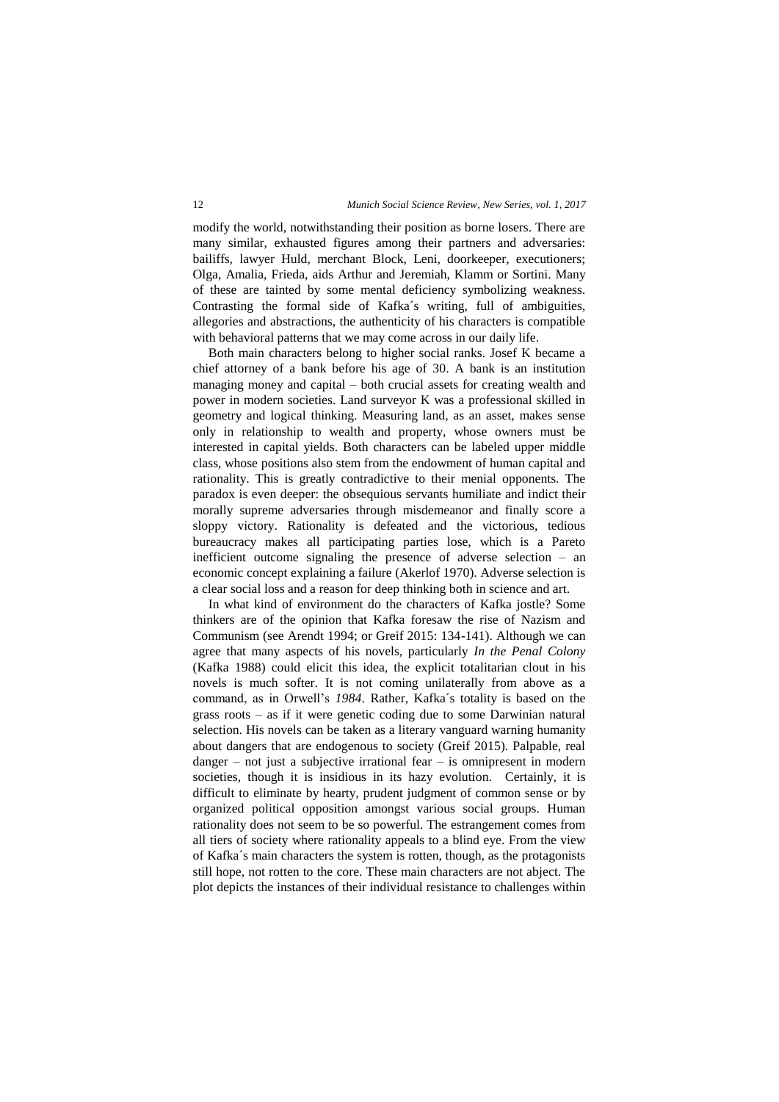modify the world, notwithstanding their position as borne losers. There are many similar, exhausted figures among their partners and adversaries: bailiffs, lawyer Huld, merchant Block, Leni, doorkeeper, executioners; Olga, Amalia, Frieda, aids Arthur and Jeremiah, Klamm or Sortini. Many of these are tainted by some mental deficiency symbolizing weakness. Contrasting the formal side of Kafka´s writing, full of ambiguities, allegories and abstractions, the authenticity of his characters is compatible with behavioral patterns that we may come across in our daily life.

Both main characters belong to higher social ranks. Josef K became a chief attorney of a bank before his age of 30. A bank is an institution managing money and capital – both crucial assets for creating wealth and power in modern societies. Land surveyor K was a professional skilled in geometry and logical thinking. Measuring land, as an asset, makes sense only in relationship to wealth and property, whose owners must be interested in capital yields. Both characters can be labeled upper middle class, whose positions also stem from the endowment of human capital and rationality. This is greatly contradictive to their menial opponents. The paradox is even deeper: the obsequious servants humiliate and indict their morally supreme adversaries through misdemeanor and finally score a sloppy victory. Rationality is defeated and the victorious, tedious bureaucracy makes all participating parties lose, which is a Pareto inefficient outcome signaling the presence of adverse selection – an economic concept explaining a failure (Akerlof 1970). Adverse selection is a clear social loss and a reason for deep thinking both in science and art.

In what kind of environment do the characters of Kafka jostle? Some thinkers are of the opinion that Kafka foresaw the rise of Nazism and Communism (see Arendt 1994; or Greif 2015: 134-141). Although we can agree that many aspects of his novels, particularly *In the Penal Colony* (Kafka 1988) could elicit this idea, the explicit totalitarian clout in his novels is much softer. It is not coming unilaterally from above as a command, as in Orwell's *1984*. Rather, Kafka´s totality is based on the grass roots – as if it were genetic coding due to some Darwinian natural selection. His novels can be taken as a literary vanguard warning humanity about dangers that are endogenous to society (Greif 2015). Palpable, real danger – not just a subjective irrational fear – is omnipresent in modern societies, though it is insidious in its hazy evolution. Certainly, it is difficult to eliminate by hearty, prudent judgment of common sense or by organized political opposition amongst various social groups. Human rationality does not seem to be so powerful. The estrangement comes from all tiers of society where rationality appeals to a blind eye. From the view of Kafka´s main characters the system is rotten, though, as the protagonists still hope, not rotten to the core. These main characters are not abject. The plot depicts the instances of their individual resistance to challenges within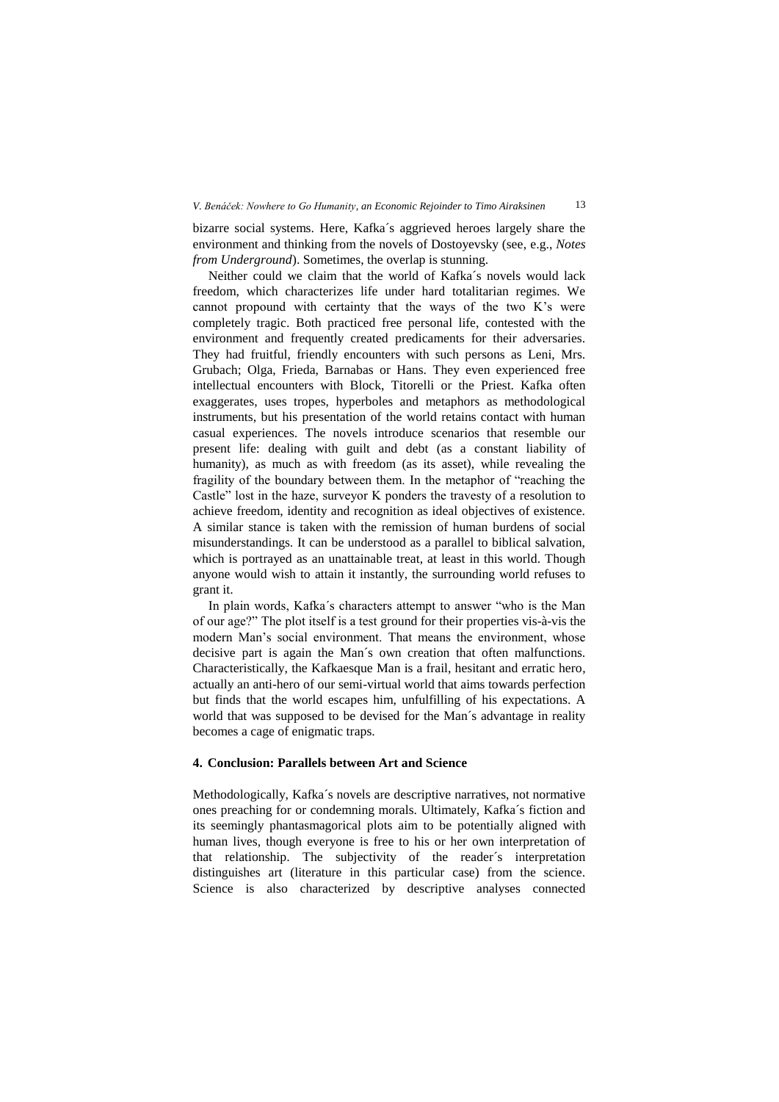bizarre social systems. Here, Kafka´s aggrieved heroes largely share the environment and thinking from the novels of Dostoyevsky (see, e.g., *Notes from Underground*). Sometimes, the overlap is stunning.

Neither could we claim that the world of Kafka´s novels would lack freedom, which characterizes life under hard totalitarian regimes. We cannot propound with certainty that the ways of the two K's were completely tragic. Both practiced free personal life, contested with the environment and frequently created predicaments for their adversaries. They had fruitful, friendly encounters with such persons as Leni, Mrs. Grubach; Olga, Frieda, Barnabas or Hans. They even experienced free intellectual encounters with Block, Titorelli or the Priest. Kafka often exaggerates, uses tropes, hyperboles and metaphors as methodological instruments, but his presentation of the world retains contact with human casual experiences. The novels introduce scenarios that resemble our present life: dealing with guilt and debt (as a constant liability of humanity), as much as with freedom (as its asset), while revealing the fragility of the boundary between them. In the metaphor of "reaching the Castle" lost in the haze, surveyor K ponders the travesty of a resolution to achieve freedom, identity and recognition as ideal objectives of existence. A similar stance is taken with the remission of human burdens of social misunderstandings. It can be understood as a parallel to biblical salvation, which is portrayed as an unattainable treat, at least in this world. Though anyone would wish to attain it instantly, the surrounding world refuses to grant it.

In plain words, Kafka´s characters attempt to answer "who is the Man of our age?" The plot itself is a test ground for their properties vis-à-vis the modern Man's social environment. That means the environment, whose decisive part is again the Man´s own creation that often malfunctions. Characteristically, the Kafkaesque Man is a frail, hesitant and erratic hero, actually an anti-hero of our semi-virtual world that aims towards perfection but finds that the world escapes him, unfulfilling of his expectations. A world that was supposed to be devised for the Man´s advantage in reality becomes a cage of enigmatic traps.

#### **4. Conclusion: Parallels between Art and Science**

Methodologically, Kafka´s novels are descriptive narratives, not normative ones preaching for or condemning morals. Ultimately, Kafka´s fiction and its seemingly phantasmagorical plots aim to be potentially aligned with human lives, though everyone is free to his or her own interpretation of that relationship. The subjectivity of the reader´s interpretation distinguishes art (literature in this particular case) from the science. Science is also characterized by descriptive analyses connected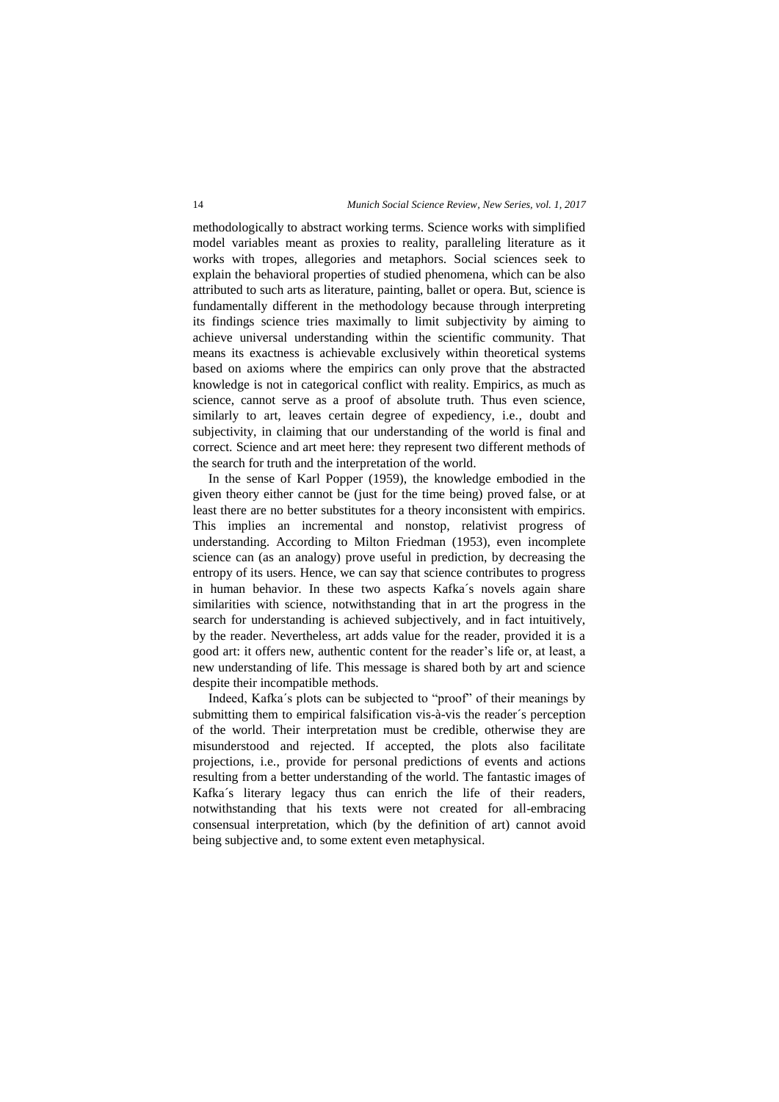methodologically to abstract working terms. Science works with simplified model variables meant as proxies to reality, paralleling literature as it works with tropes, allegories and metaphors. Social sciences seek to explain the behavioral properties of studied phenomena, which can be also attributed to such arts as literature, painting, ballet or opera. But, science is fundamentally different in the methodology because through interpreting its findings science tries maximally to limit subjectivity by aiming to achieve universal understanding within the scientific community. That means its exactness is achievable exclusively within theoretical systems based on axioms where the empirics can only prove that the abstracted knowledge is not in categorical conflict with reality. Empirics, as much as science, cannot serve as a proof of absolute truth. Thus even science, similarly to art, leaves certain degree of expediency, i.e., doubt and subjectivity, in claiming that our understanding of the world is final and correct. Science and art meet here: they represent two different methods of the search for truth and the interpretation of the world.

In the sense of Karl Popper (1959), the knowledge embodied in the given theory either cannot be (just for the time being) proved false, or at least there are no better substitutes for a theory inconsistent with empirics. This implies an incremental and nonstop, relativist progress of understanding. According to Milton Friedman (1953), even incomplete science can (as an analogy) prove useful in prediction, by decreasing the entropy of its users. Hence, we can say that science contributes to progress in human behavior. In these two aspects Kafka´s novels again share similarities with science, notwithstanding that in art the progress in the search for understanding is achieved subjectively, and in fact intuitively, by the reader. Nevertheless, art adds value for the reader, provided it is a good art: it offers new, authentic content for the reader's life or, at least, a new understanding of life. This message is shared both by art and science despite their incompatible methods.

Indeed, Kafka´s plots can be subjected to "proof" of their meanings by submitting them to empirical falsification vis-à-vis the reader´s perception of the world. Their interpretation must be credible, otherwise they are misunderstood and rejected. If accepted, the plots also facilitate projections, i.e., provide for personal predictions of events and actions resulting from a better understanding of the world. The fantastic images of Kafka´s literary legacy thus can enrich the life of their readers, notwithstanding that his texts were not created for all-embracing consensual interpretation, which (by the definition of art) cannot avoid being subjective and, to some extent even metaphysical.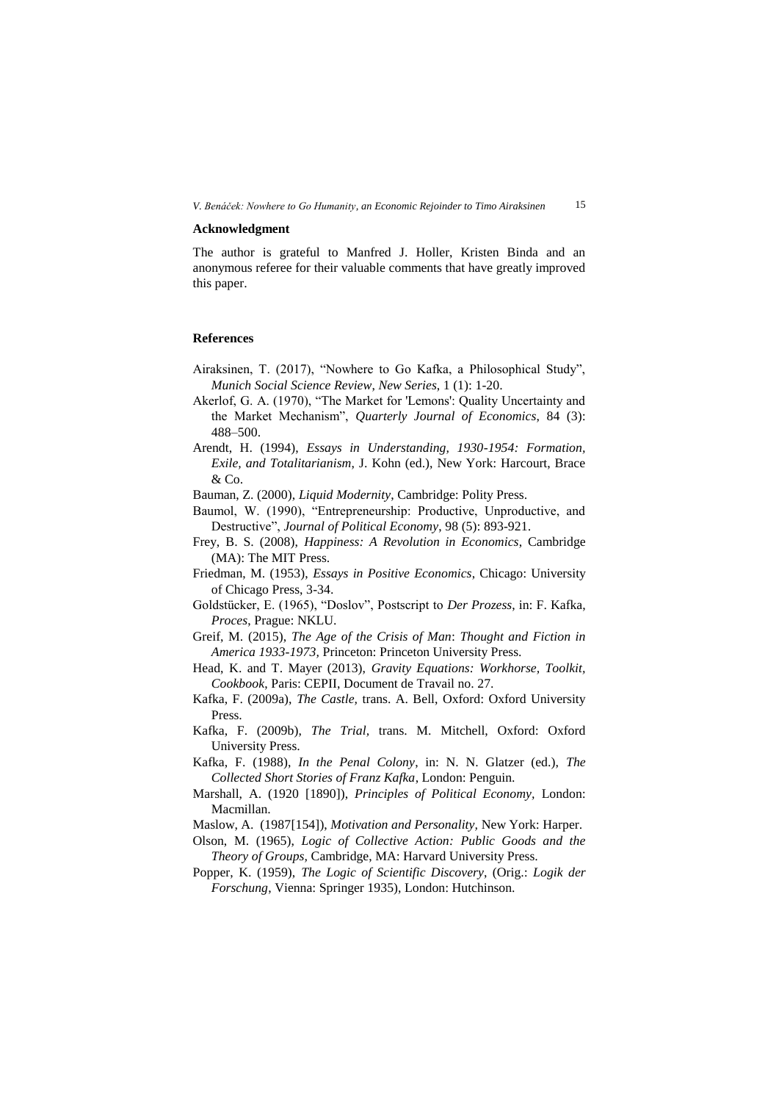#### **Acknowledgment**

The author is grateful to Manfred J. Holler, Kristen Binda and an anonymous referee for their valuable comments that have greatly improved this paper.

### **References**

- Airaksinen, T. (2017), "Nowhere to Go Kafka, a Philosophical Study", *Munich Social Science Review*, *New Series*, 1 (1): 1-20.
- Akerlof, G. A. (1970), "The Market for 'Lemons': Quality Uncertainty and the Market Mechanism", *Quarterly Journal of Economics*, 84 (3): 488–500.
- Arendt, H. (1994), *Essays in Understanding, 1930-1954: Formation, Exile, and Totalitarianism*, J. Kohn (ed.), New York: Harcourt, Brace & Co.

Bauman, Z. (2000), *Liquid Modernity*, Cambridge: Polity Press.

- Baumol, W. (1990), "Entrepreneurship: Productive, Unproductive, and Destructive", *Journal of Political Economy*, 98 (5): 893-921.
- Frey, B. S. (2008), *Happiness: A Revolution in Economics*, Cambridge (MA): The MIT Press.
- Friedman, M. (1953), *Essays in Positive Economics*, Chicago: University of Chicago Press, 3-34.
- Goldstücker, E. (1965), "Doslov", Postscript to *Der Prozess*, in: F. Kafka, *Proces*, Prague: NKLU.
- Greif, M. (2015), *The Age of the Crisis of Man*: *Thought and Fiction in America 1933-1973,* Princeton: Princeton University Press.
- Head, K. and T. Mayer (2013), *Gravity Equations: Workhorse, Toolkit, Cookbook*, Paris: CEPII, Document de Travail no. 27.
- Kafka, F. (2009a), *The Castle,* trans. A. Bell, Oxford: Oxford University Press.
- Kafka, F. (2009b), *The Trial,* trans. M. Mitchell, Oxford: Oxford University Press.
- Kafka, F. (1988), *In the Penal Colony*, in: N. N. Glatzer (ed.), *The Collected Short Stories of Franz Kafka*, London: Penguin.
- Marshall, A. (1920 [1890]), *Principles of Political Economy,* London: Macmillan.
- Maslow, A. (1987[154]), *Motivation and Personality,* New York: Harper.
- Olson, M. (1965), *Logic of Collective Action: Public Goods and the Theory of Groups,* Cambridge, MA: Harvard University Press.
- Popper, K. (1959), *The Logic of Scientific Discovery*, (Orig.: *Logik der Forschung*, Vienna: Springer 1935), London: Hutchinson.